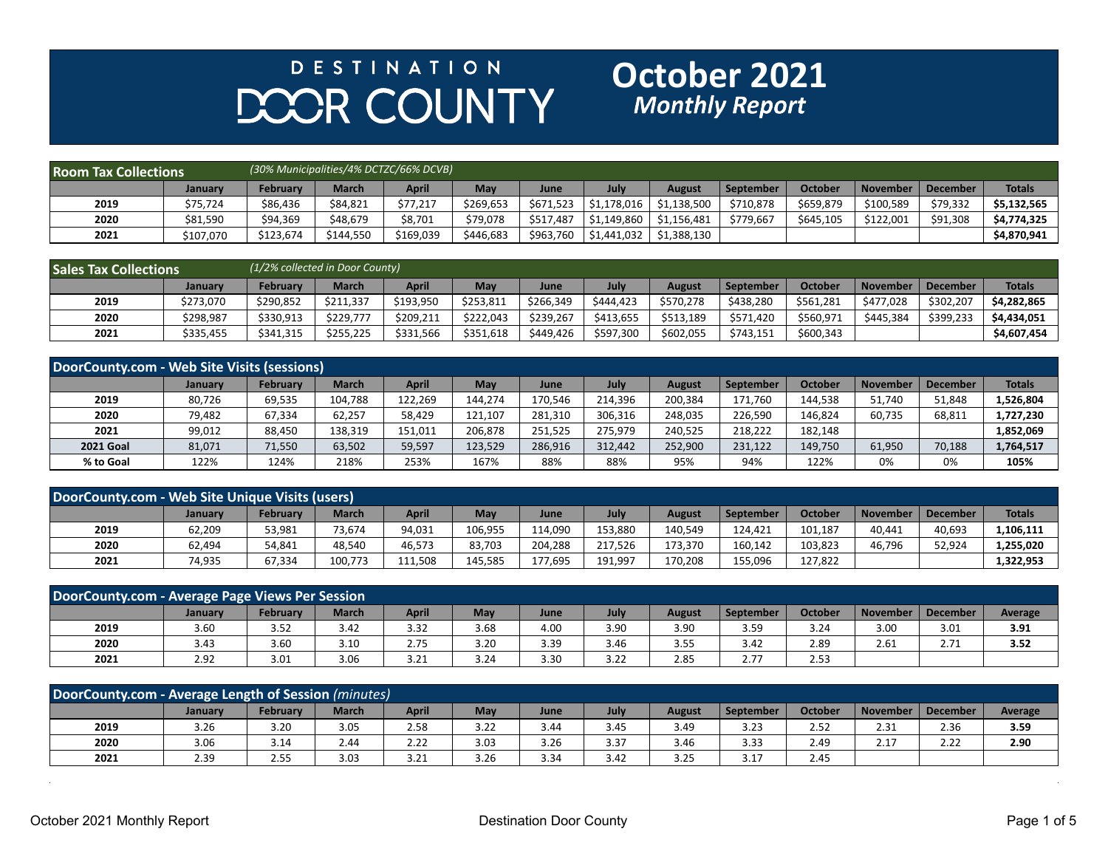## **DESTINATION** DOOR COUNTY

## **October 2021**<br>Monthly Report

| <b>Room Tax Collections</b> |           |           |              | (30% Municipalities/4% DCTZC/66% DCVB) |            |             |                        |               |           |           |            |          |               |
|-----------------------------|-----------|-----------|--------------|----------------------------------------|------------|-------------|------------------------|---------------|-----------|-----------|------------|----------|---------------|
|                             | January   | February  | <b>March</b> | April                                  | <b>May</b> | <b>June</b> | July                   | <b>August</b> | September | October   | l November | December | <b>Totals</b> |
| 2019                        | \$75,724  | \$86,436  | \$84,821     | \$77,217                               | \$269,653  | \$671,523   | 51,178,016             | \$1,138,500   | \$710,878 | \$659,879 | \$100,589  | \$79,332 | \$5.132.565   |
| 2020                        | \$81,590  | \$94,369  | \$48,679     | \$8,701                                | \$79,078   | \$517,487   | \$1,149,860            | \$1.156.481   | \$779,667 | \$645,105 | \$122.001  | \$91,308 | \$4,774,325   |
| 2021                        | \$107,070 | \$123,674 | \$144,550    | \$169,039                              | \$446.683  | \$963,760   | $\frac{1}{51,441,032}$ | \$1,388,130   |           |           |            |          | \$4,870,941   |

| <b>Sales Tax Collections</b> |           | (1/2% collected in Door County) |              |           |           |           |           |           |           |           |                 |           |               |
|------------------------------|-----------|---------------------------------|--------------|-----------|-----------|-----------|-----------|-----------|-----------|-----------|-----------------|-----------|---------------|
|                              | Januarv   | <b>February</b>                 | <b>March</b> | April     | May       | June      | July      | August    | September | October   | <b>November</b> | December  | <b>Totals</b> |
| 2019                         | \$273,070 | \$290.852                       | \$211.337    | \$193,950 | \$253.811 | \$266,349 | \$444.423 | \$570.278 | \$438.280 | \$561,281 | \$477.028       | \$302,207 | \$4.282.865   |
| 2020                         | \$298,987 | \$330,913                       | \$229.777    | \$209,211 | \$222.043 | \$239,267 | \$413,655 | \$513,189 | \$571,420 | \$560,971 | \$445,384       | \$399,233 | \$4,434,051   |
| 2021                         | \$335,455 | \$341,315                       | \$255,225    | \$331,566 | \$351,618 | \$449,426 | \$597,300 | \$602,055 | \$743,151 | \$600,343 |                 |           | \$4,607,454   |

| DoorCounty.com - Web Site Visits (sessions) |         |                 |              |              |         |         |         |         |                  |                |            |                 |               |
|---------------------------------------------|---------|-----------------|--------------|--------------|---------|---------|---------|---------|------------------|----------------|------------|-----------------|---------------|
|                                             | January | <b>February</b> | <b>March</b> | <b>April</b> | May     | June    | July    | August  | <b>September</b> | <b>October</b> | . November | <b>December</b> | <b>Totals</b> |
| 2019                                        | 80,726  | 69,535          | 104,788      | 122,269      | 144,274 | 170,546 | 214.396 | 200,384 | 171.760          | 144.538        | 51,740     | 51,848          | 1,526,804     |
| 2020                                        | 79,482  | 67,334          | 62.257       | 58,429       | 121.107 | 281,310 | 306.316 | 248,035 | 226.590          | 146.824        | 60,735     | 68,811          | 1,727,230     |
| 2021                                        | 99,012  | 88,450          | 138,319      | 151,011      | 206,878 | 251.525 | 275.979 | 240,525 | 218,222          | 182,148        |            |                 | 1,852,069     |
| <b>2021 Goal</b>                            | 81,071  | 71,550          | 63,502       | 59,597       | 123,529 | 286,916 | 312.442 | 252,900 | 231,122          | 149,750        | 61,950     | 70,188          | 1,764,517     |
| % to Goal                                   | 122%    | 124%            | 218%         | 253%         | 167%    | 88%     | 88%     | 95%     | 94%              | 122%           | 0%         | 0%              | 105%          |

| DoorCounty.com - Web Site Unique Visits (users) |         |          |              |              |         |         |         |         |                  |         |                 |                 |               |
|-------------------------------------------------|---------|----------|--------------|--------------|---------|---------|---------|---------|------------------|---------|-----------------|-----------------|---------------|
|                                                 | January | February | <b>March</b> | <b>April</b> | Mav     | June    | July    | August  | <b>September</b> | October | <b>November</b> | <b>December</b> | <b>Totals</b> |
| 2019                                            | 62,209  | 53,981   | 73.674       | 94.031       | 106.955 | 114.090 | 153.880 | 140.549 | 124.421          | 101,187 | 40.441          | 40.693          | 106,111       |
| 2020                                            | 62,494  | 54,841   | 48.540       | 46,573       | 83,703  | 204.288 | 217,526 | 173.370 | 160,142          | 103,823 | 46,796          | 52,924          | .,255,020     |
| 2021                                            | 74,935  | 67,334   | 100,773      | 111,508      | 145,585 | 177,695 | 191,997 | 170,208 | 155,096          | 127,822 |                 |                 | 1,322,953     |

| DoorCounty.com - Average Page Views Per Session |         |                 |              |              |      |      |      |               |                  |                |                 |                 |                |
|-------------------------------------------------|---------|-----------------|--------------|--------------|------|------|------|---------------|------------------|----------------|-----------------|-----------------|----------------|
|                                                 | January | <b>February</b> | <b>March</b> | <b>April</b> | May  | June | July | <b>August</b> | <b>September</b> | <b>October</b> | <b>November</b> | <b>December</b> | <b>Average</b> |
| 2019                                            | 3.60    | 3.52            | 3.42         | 3.32         | 3.68 | 4.00 | 3.90 | 3.90          | 3.59             | 3.24           | 3.00            | 3.01            | 3.91           |
| 2020                                            | 3.43    | 3.60            | 3.10         | 2.75         | 3.20 | 3.39 | 3.46 | 3.55          | 3.42             | 2.89           | 2.61            | 2.71            | 3.52           |
| 2021                                            | 2.92    | 3.01            | 3.06         | 3.21         | 3.24 | 3.30 | 3.22 | 2.85          | 2.77             | 2.53           |                 |                 |                |

| DoorCounty.com - Average Length of Session (minutes) |         |                    |              |              |      |      |      |               |                  |                |                 |                 |         |
|------------------------------------------------------|---------|--------------------|--------------|--------------|------|------|------|---------------|------------------|----------------|-----------------|-----------------|---------|
|                                                      | Januarv | <b>February</b>    | <b>March</b> | <b>April</b> | May  | June | July | <b>August</b> | <b>September</b> | <b>October</b> | <b>November</b> | <b>December</b> | Average |
| 2019                                                 | 3.26    | 3.20               | 3.05         | 2.58         | 3.22 | 3.44 | 3.45 | 3.49          | 3.23             | 2.52           | 2.31            | 2.36            | 3.59    |
| 2020                                                 | 3.06    | 3.14               | 2.44         | 2.22         | 3.03 | 3.26 | 3.37 | 3.46          | 3.33             | 2.49           | 2.17            | 2.22            | 2.90    |
| 2021                                                 | 2.39    | $\sim$ $-$<br>2.55 | 3.03         | 3.21         | 3.26 | 3.34 | 3.42 | 3.25          | 3.17             | 2.45           |                 |                 |         |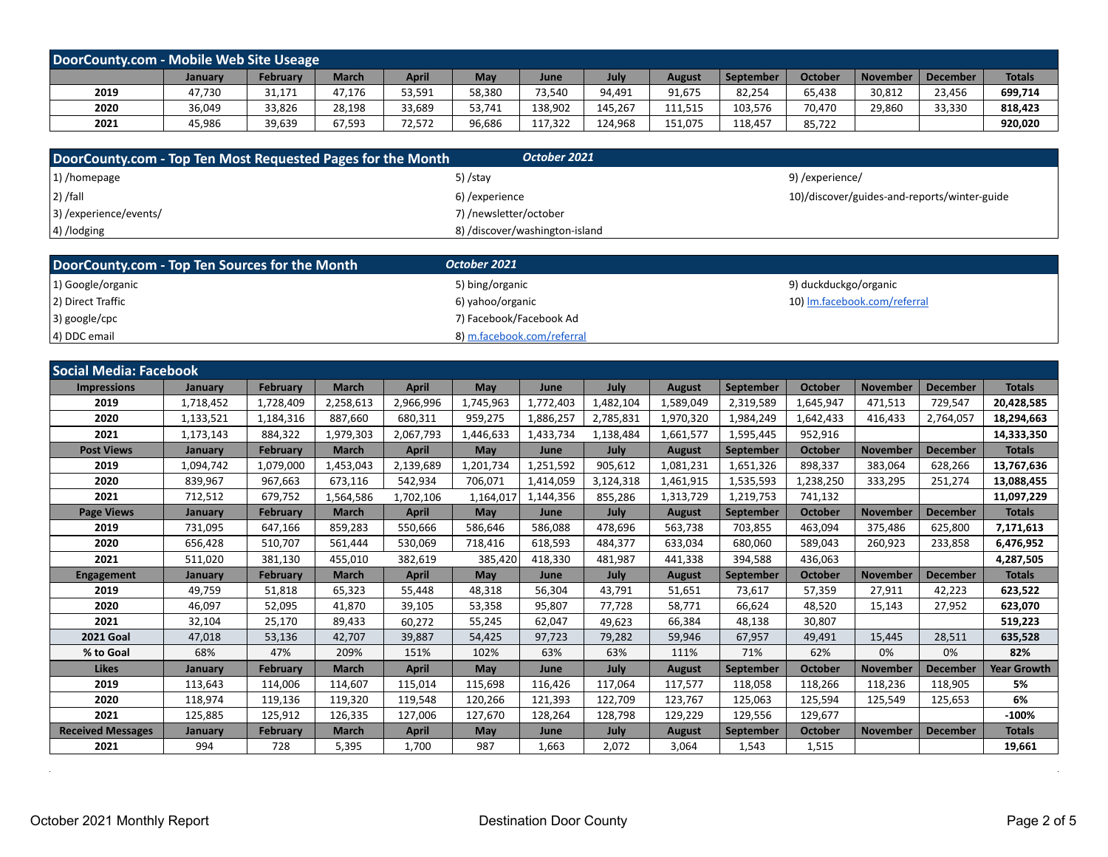| DoorCounty.com - Mobile Web Site Useage |                |          |        |        |        |             |         |               |           |         |                 |                 |               |
|-----------------------------------------|----------------|----------|--------|--------|--------|-------------|---------|---------------|-----------|---------|-----------------|-----------------|---------------|
|                                         | <b>January</b> | February | March  | April  | May    | <b>June</b> | July    | <b>August</b> | September | October | <b>November</b> | <b>December</b> | <b>Totals</b> |
| 2019                                    | 47,730         | 31,171   | 47,176 | 53,591 | 58,380 | 73.540      | 94.491  | 91,675        | 82.254    | 65.438  | 30,812          | 23,456          | 699,714       |
| 2020                                    | 36,049         | 33,826   | 28,198 | 33,689 | 53,741 | 138,902     | 145,267 | 111.515       | 103.576   | 70.470  | 29,860          | 33,330          | 818,423       |
| 2021                                    | 45,986         | 39,639   | 67,593 | 72,572 | 96,686 | 117,322     | 124,968 | 151,075       | 118.457   | 85,722  |                 |                 | 920,020       |

| DoorCounty.com - Top Ten Most Requested Pages for the Month | October 2021                   |                                              |
|-------------------------------------------------------------|--------------------------------|----------------------------------------------|
| $ 1\rangle$ /homepage                                       | 5) /stay                       | 9) /experience/                              |
| $ 2)$ /fall                                                 | 6) / experience                | 10)/discover/guides-and-reports/winter-guide |
| 3) / experience/events                                      | 7) /newsletter/october         |                                              |
| 4) /lodging                                                 | 8) /discover/washington-island |                                              |

| DoorCounty.com - Top Ten Sources for the Month | October 2021               |                              |
|------------------------------------------------|----------------------------|------------------------------|
| 1) Google/organic                              | 5) bing/organic            | 9) duckduckgo/organic        |
| 2) Direct Traffic                              | 6) yahoo/organic           | 10) Im.facebook.com/referral |
| $ 3)$ google/cpc                               | 7) Facebook/Facebook Ad    |                              |
| 4) DDC email                                   | 8) m.facebook.com/referral |                              |

| <b>Social Media: Facebook</b> |           |                 |              |              |            |             |           |               |                  |                |                 |                 |                    |
|-------------------------------|-----------|-----------------|--------------|--------------|------------|-------------|-----------|---------------|------------------|----------------|-----------------|-----------------|--------------------|
| <b>Impressions</b>            | January   | <b>February</b> | <b>March</b> | <b>April</b> | <b>May</b> | June        | July      | <b>August</b> | September        | <b>October</b> | <b>November</b> | <b>December</b> | <b>Totals</b>      |
| 2019                          | 1,718,452 | 1,728,409       | 2,258,613    | 2,966,996    | 1,745,963  | 1,772,403   | 1,482,104 | 1,589,049     | 2,319,589        | 1,645,947      | 471,513         | 729,547         | 20,428,585         |
| 2020                          | 1,133,521 | 1,184,316       | 887,660      | 680,311      | 959,275    | 1,886,257   | 2,785,831 | 1,970,320     | 1,984,249        | 1,642,433      | 416.433         | 2,764,057       | 18,294,663         |
| 2021                          | 1,173,143 | 884,322         | 1,979,303    | 2,067,793    | 1,446,633  | 1,433,734   | 1,138,484 | 1,661,577     | 1,595,445        | 952,916        |                 |                 | 14,333,350         |
| <b>Post Views</b>             | January   | <b>February</b> | <b>March</b> | <b>April</b> | <b>May</b> | <b>June</b> | July      | <b>August</b> | <b>September</b> | <b>October</b> | <b>November</b> | <b>December</b> | <b>Totals</b>      |
| 2019                          | 1,094,742 | 1,079,000       | 1,453,043    | 2,139,689    | 1.201.734  | 1,251,592   | 905,612   | 1,081,231     | 1.651.326        | 898,337        | 383,064         | 628,266         | 13,767,636         |
| 2020                          | 839,967   | 967,663         | 673,116      | 542,934      | 706,071    | 1,414,059   | 3,124,318 | 1,461,915     | 1,535,593        | 1,238,250      | 333,295         | 251,274         | 13,088,455         |
| 2021                          | 712,512   | 679,752         | 1,564,586    | 1,702,106    | 1,164,017  | 1,144,356   | 855,286   | 1,313,729     | 1,219,753        | 741,132        |                 |                 | 11,097,229         |
| <b>Page Views</b>             | January   | <b>February</b> | <b>March</b> | <b>April</b> | May        | June        | July      | <b>August</b> | September        | <b>October</b> | <b>November</b> | <b>December</b> | <b>Totals</b>      |
| 2019                          | 731,095   | 647,166         | 859,283      | 550,666      | 586,646    | 586,088     | 478,696   | 563,738       | 703,855          | 463,094        | 375,486         | 625,800         | 7,171,613          |
| 2020                          | 656,428   | 510,707         | 561,444      | 530,069      | 718,416    | 618,593     | 484,377   | 633,034       | 680.060          | 589,043        | 260,923         | 233,858         | 6,476,952          |
| 2021                          | 511,020   | 381,130         | 455.010      | 382.619      | 385,420    | 418,330     | 481.987   | 441,338       | 394,588          | 436,063        |                 |                 | 4,287,505          |
| <b>Engagement</b>             | January   | <b>February</b> | <b>March</b> | <b>April</b> | May        | June        | July      | <b>August</b> | September        | <b>October</b> | <b>November</b> | <b>December</b> | <b>Totals</b>      |
| 2019                          | 49,759    | 51,818          | 65.323       | 55,448       | 48,318     | 56,304      | 43.791    | 51,651        | 73,617           | 57,359         | 27,911          | 42,223          | 623,522            |
| 2020                          | 46,097    | 52,095          | 41.870       | 39,105       | 53,358     | 95,807      | 77.728    | 58,771        | 66.624           | 48,520         | 15.143          | 27,952          | 623,070            |
| 2021                          | 32,104    | 25,170          | 89.433       | 60,272       | 55,245     | 62.047      | 49.623    | 66,384        | 48.138           | 30,807         |                 |                 | 519,223            |
| <b>2021 Goal</b>              | 47,018    | 53,136          | 42,707       | 39,887       | 54,425     | 97,723      | 79,282    | 59,946        | 67,957           | 49,491         | 15,445          | 28,511          | 635,528            |
| % to Goal                     | 68%       | 47%             | 209%         | 151%         | 102%       | 63%         | 63%       | 111%          | 71%              | 62%            | 0%              | 0%              | 82%                |
| <b>Likes</b>                  | January   | <b>February</b> | <b>March</b> | <b>April</b> | May        | June        | July      | <b>August</b> | <b>September</b> | <b>October</b> | <b>November</b> | <b>December</b> | <b>Year Growth</b> |
| 2019                          | 113,643   | 114,006         | 114,607      | 115,014      | 115,698    | 116,426     | 117,064   | 117,577       | 118,058          | 118,266        | 118,236         | 118,905         | 5%                 |
| 2020                          | 118,974   | 119,136         | 119,320      | 119,548      | 120,266    | 121,393     | 122,709   | 123,767       | 125,063          | 125,594        | 125,549         | 125,653         | 6%                 |
| 2021                          | 125,885   | 125,912         | 126,335      | 127,006      | 127,670    | 128,264     | 128,798   | 129,229       | 129,556          | 129,677        |                 |                 | $-100%$            |
| <b>Received Messages</b>      | January   | <b>February</b> | <b>March</b> | <b>April</b> | May        | June        | July      | <b>August</b> | September        | <b>October</b> | <b>November</b> | <b>December</b> | <b>Totals</b>      |
| 2021                          | 994       | 728             | 5,395        | 1.700        | 987        | 1.663       | 2,072     | 3,064         | 1,543            | 1,515          |                 |                 | 19,661             |

 $\sim 10^{-1}$ 

 $\alpha$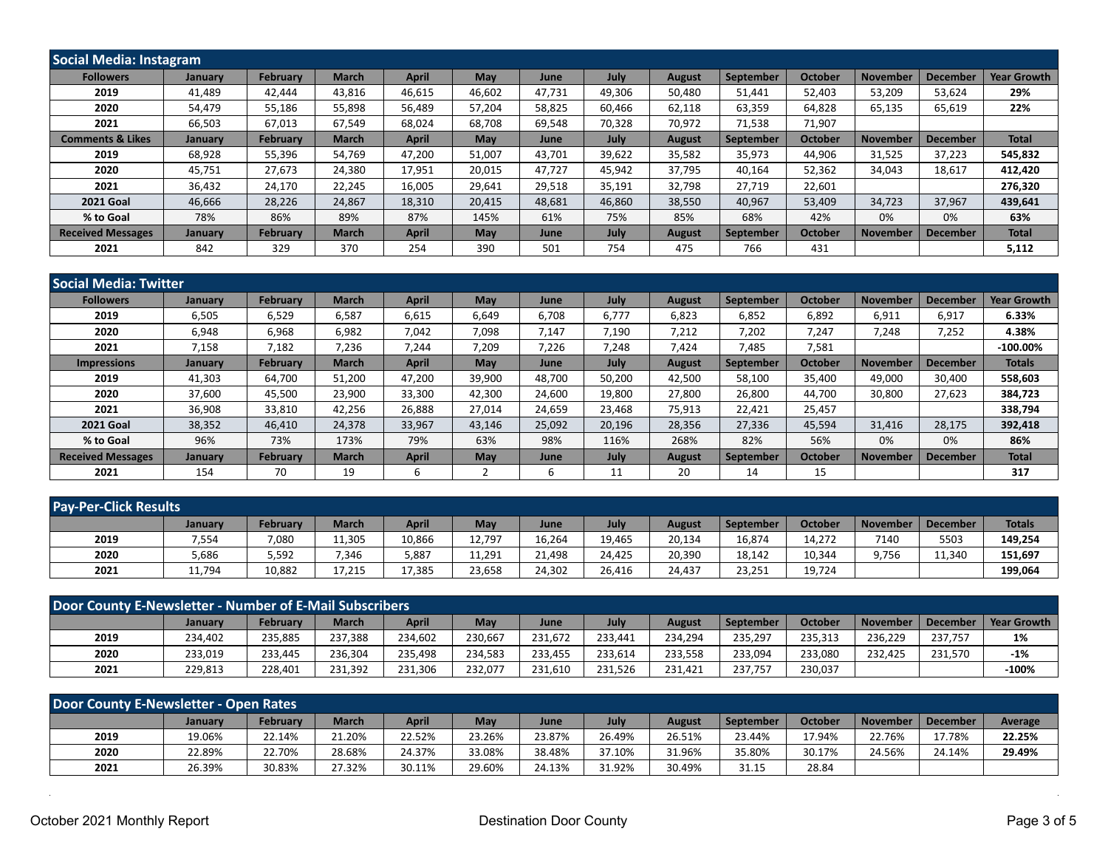| Social Media: Instagram     |                |                 |              |              |            |             |        |               |           |                |                 |                 |                    |
|-----------------------------|----------------|-----------------|--------------|--------------|------------|-------------|--------|---------------|-----------|----------------|-----------------|-----------------|--------------------|
| <b>Followers</b>            | January        | <b>February</b> | <b>March</b> | <b>April</b> | May        | <b>June</b> | July   | <b>August</b> | September | <b>October</b> | <b>November</b> | <b>December</b> | <b>Year Growth</b> |
| 2019                        | 41,489         | 42,444          | 43,816       | 46,615       | 46,602     | 47,731      | 49,306 | 50,480        | 51,441    | 52,403         | 53,209          | 53,624          | 29%                |
| 2020                        | 54,479         | 55,186          | 55,898       | 56,489       | 57.204     | 58,825      | 60.466 | 62,118        | 63,359    | 64,828         | 65,135          | 65,619          | 22%                |
| 2021                        | 66,503         | 67,013          | 67,549       | 68,024       | 68,708     | 69,548      | 70,328 | 70,972        | 71,538    | 71,907         |                 |                 |                    |
| <b>Comments &amp; Likes</b> | <b>January</b> | <b>February</b> | <b>March</b> | <b>April</b> | May        | June        | July   | <b>August</b> | September | <b>October</b> | <b>November</b> | <b>December</b> | <b>Total</b>       |
| 2019                        | 68,928         | 55,396          | 54,769       | 47,200       | 51,007     | 43,701      | 39,622 | 35,582        | 35,973    | 44,906         | 31,525          | 37,223          | 545,832            |
| 2020                        | 45.751         | 27,673          | 24.380       | 17,951       | 20,015     | 47.727      | 45,942 | 37,795        | 40.164    | 52,362         | 34.043          | 18,617          | 412,420            |
| 2021                        | 36,432         | 24,170          | 22,245       | 16,005       | 29,641     | 29,518      | 35,191 | 32,798        | 27,719    | 22,601         |                 |                 | 276,320            |
| <b>2021 Goal</b>            | 46,666         | 28,226          | 24.867       | 18,310       | 20,415     | 48,681      | 46,860 | 38,550        | 40,967    | 53,409         | 34,723          | 37,967          | 439,641            |
| % to Goal                   | 78%            | 86%             | 89%          | 87%          | 145%       | 61%         | 75%    | 85%           | 68%       | 42%            | 0%              | 0%              | 63%                |
| <b>Received Messages</b>    | <b>January</b> | <b>February</b> | <b>March</b> | <b>April</b> | <b>May</b> | June        | July   | <b>August</b> | September | <b>October</b> | <b>November</b> | <b>December</b> | <b>Total</b>       |
| 2021                        | 842            | 329             | 370          | 254          | 390        | 501         | 754    | 475           | 766       | 431            |                 |                 | 5,112              |

| Social Media: Twitter    |                |                 |              |              |            |        |        |               |                  |                |                 |                 |                    |
|--------------------------|----------------|-----------------|--------------|--------------|------------|--------|--------|---------------|------------------|----------------|-----------------|-----------------|--------------------|
| <b>Followers</b>         | January        | <b>February</b> | <b>March</b> | <b>April</b> | May        | June   | July   | <b>August</b> | September        | <b>October</b> | <b>November</b> | December        | <b>Year Growth</b> |
| 2019                     | 6,505          | 6,529           | 6,587        | 6,615        | 6,649      | 6,708  | 6,777  | 6,823         | 6,852            | 6,892          | 6,911           | 6,917           | 6.33%              |
| 2020                     | 6,948          | 6,968           | 6,982        | 7,042        | 7,098      | 7,147  | 7,190  | 7,212         | 7,202            | 7,247          | 7,248           | 7,252           | 4.38%              |
| 2021                     | 7,158          | 7,182           | 7,236        | 7,244        | 7,209      | 7,226  | 7,248  | 7,424         | 7.485            | 7,581          |                 |                 | $-100.00\%$        |
| <b>Impressions</b>       | <b>January</b> | <b>February</b> | <b>March</b> | <b>April</b> | <b>May</b> | June   | July   | <b>August</b> | <b>September</b> | <b>October</b> | <b>November</b> | <b>December</b> | <b>Totals</b>      |
| 2019                     | 41,303         | 64,700          | 51.200       | 47,200       | 39,900     | 48,700 | 50,200 | 42,500        | 58,100           | 35,400         | 49,000          | 30,400          | 558,603            |
| 2020                     | 37,600         | 45,500          | 23,900       | 33,300       | 42,300     | 24,600 | 19,800 | 27,800        | 26,800           | 44,700         | 30,800          | 27,623          | 384,723            |
| 2021                     | 36,908         | 33,810          | 42,256       | 26,888       | 27,014     | 24,659 | 23,468 | 75,913        | 22,421           | 25,457         |                 |                 | 338,794            |
| <b>2021 Goal</b>         | 38,352         | 46,410          | 24,378       | 33,967       | 43,146     | 25,092 | 20,196 | 28,356        | 27,336           | 45,594         | 31,416          | 28,175          | 392,418            |
| % to Goal                | 96%            | 73%             | 173%         | 79%          | 63%        | 98%    | 116%   | 268%          | 82%              | 56%            | 0%              | 0%              | 86%                |
| <b>Received Messages</b> | January        | February        | <b>March</b> | <b>April</b> | May        | June   | July   | <b>August</b> | September        | <b>October</b> | <b>November</b> | <b>December</b> | <b>Total</b>       |
| 2021                     | 154            | 70              | 19           | 6            |            |        | 11     | 20            | 14               | 15             |                 |                 | 317                |

| <b>Pay-Per-Click Results</b> |                |                 |              |              |        |             |        |               |           |                |                 |          |               |
|------------------------------|----------------|-----------------|--------------|--------------|--------|-------------|--------|---------------|-----------|----------------|-----------------|----------|---------------|
|                              | <b>January</b> | <b>February</b> | <b>March</b> | <b>April</b> | May    | <b>June</b> | July   | <b>August</b> | September | <b>October</b> | <b>November</b> | December | <b>Totals</b> |
| 2019                         | 7,554          | 7,080           | 11,305       | 10,866       | 12,797 | 16,264      | 19,465 | 20,134        | 16,874    | 14.272         | 7140            | 5503     | 149,254       |
| 2020                         | 5,686          | 5,592           | 7,346        | 5,887        | 11,291 | 21,498      | 24,425 | 20,390        | 18,142    | 10,344         | 9,756           | 11,340   | 151,697       |
| 2021                         | 11,794         | 10,882          | 17,215       | 17,385       | 23,658 | 24,302      | 26.416 | 24,437        | 23,251    | 19,724         |                 |          | 199,064       |

| Door County E-Newsletter - Number of E-Mail Subscribers |                |                 |              |              |         |         |         |               |           |                |                 |                 |             |
|---------------------------------------------------------|----------------|-----------------|--------------|--------------|---------|---------|---------|---------------|-----------|----------------|-----------------|-----------------|-------------|
|                                                         | <b>January</b> | <b>February</b> | <b>March</b> | <b>April</b> | May     | June    | July    | <b>August</b> | September | <b>October</b> | <b>November</b> | <b>December</b> | Year Growth |
| 2019                                                    | 234,402        | 235.885         | 237.388      | 234.602      | 230.667 | 231.672 | 233.441 | 234,294       | 235,297   | 235,313        | 236.229         | 237.757         | 1%          |
| 2020                                                    | 233,019        | 233.445         | 236.304      | 235.498      | 234.583 | 233.455 | 233.614 | 233,558       | 233.094   | 233,080        | 232.425         | 231,570         | $-1%$       |
| 2021                                                    | 229,813        | 228.401         | 231.392      | 231,306      | 232.077 | 231,610 | 231,526 | 231,421       | 237.757   | 230,037        |                 |                 | -100%       |

| Door County E-Newsletter - Open Rates |         |          |              |              |        |        |        |        |                  |         |                 |                 |         |
|---------------------------------------|---------|----------|--------------|--------------|--------|--------|--------|--------|------------------|---------|-----------------|-----------------|---------|
|                                       | Januarv | February | <b>March</b> | <b>April</b> | May    | June   | July   | August | <b>September</b> | October | <b>November</b> | <b>December</b> | Average |
| 2019                                  | 19.06%  | 22.14%   | 21.20%       | 22.52%       | 23.26% | 23.87% | 26.49% | 26.51% | 23.44%           | 17.94%  | 22.76%          | 17.78%          | 22.25%  |
| 2020                                  | 22.89%  | 22.70%   | 28.68%       | 24.37%       | 33.08% | 38.48% | 37.10% | 31.96% | 35.80%           | 30.17%  | 24.56%          | 24.14%          | 29.49%  |
| 2021                                  | 26.39%  | 30.83%   | 27.32%       | 30.11%       | 29.60% | 24.13% | 31.92% | 30.49% | 31.15            | 28.84   |                 |                 |         |

 $\bar{z}$ 

l.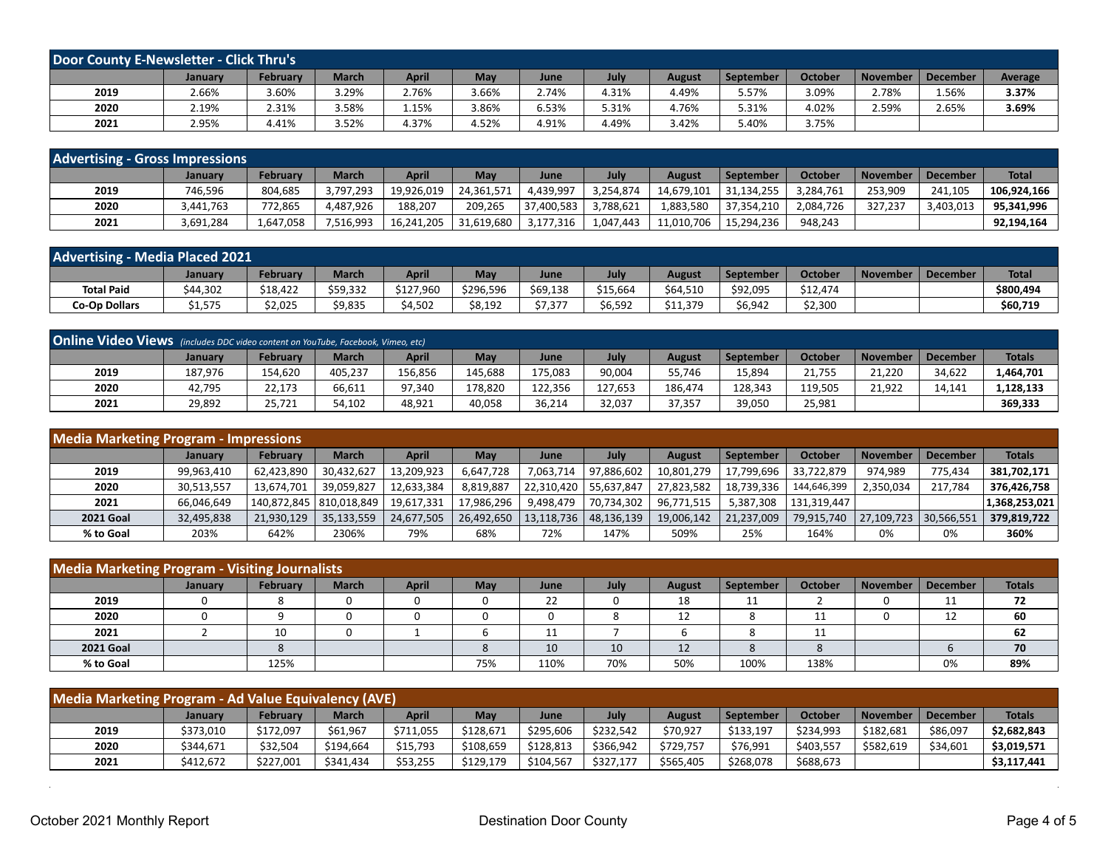| Door County E-Newsletter - Click Thru's |         |                 |              |              |       |             |       |               |                  |                |                 |                 |         |
|-----------------------------------------|---------|-----------------|--------------|--------------|-------|-------------|-------|---------------|------------------|----------------|-----------------|-----------------|---------|
|                                         | January | <b>February</b> | <b>March</b> | <b>April</b> | May   | <b>June</b> | July  | <b>August</b> | <b>September</b> | <b>October</b> | <b>November</b> | <b>December</b> | Average |
| 2019                                    | 2.66%   | 3.60%           | 3.29%        | 2.76%        | 3.66% | 4.74%       | 4.31% | 4.49%         | 5.57%            | 3.09%          | 2.78%           | 1.56%           | 3.37%   |
| 2020                                    | 2.19%   | 2.31%           | 3.58%        | 1.15%        | 86%   | 6.53%       | 5.31% | 4.76%         | 5.31%            | 4.02%          | 2.59%           | 2.65%           | 3.69%   |
| 2021                                    | 2.95%   | 4.41%           | 3.52%        | 4.37%        | 4.52% | 4.91%       | 4.49% | 3.42%         | 5.40%            | 3.75%          |                 |                 |         |

| <b>Advertising - Gross Impressions</b> |                |                 |              |            |            |             |           |               |             |           |                 |           |              |
|----------------------------------------|----------------|-----------------|--------------|------------|------------|-------------|-----------|---------------|-------------|-----------|-----------------|-----------|--------------|
|                                        | <b>January</b> | <b>February</b> | <b>March</b> | April      | May        | <b>June</b> | July      | <b>August</b> | September   | October   | <b>November</b> | December  | <b>Total</b> |
| 2019                                   | 746,596        | 804,685         | 3,797,293    | 19,926,019 | 24.361.571 | 4,439,997   | 3,254,874 | 14,679,101    | 31,134,255  | 1,284,761 | 253,909         | 241.105   | 106.924.166  |
| 2020                                   | 3.441.763      | 772.865         | 4.487.926    | 188.207    | 209.265    | 37,400,583  | 3.788.621 | 1,883,580     | 37,354,210  | 2,084,726 | 327.237         | 3.403.013 | 95.341.996   |
| 2021                                   | 3,691,284      | 1.647.058       | 7,516,993    | 16,241,205 | 31.619.680 | 3,177,316   | 1.047.443 | 11,010,706    | '15,294,236 | 948.243   |                 |           | 92,194,164   |

| <b>Advertising - Media Placed 2021</b> |          |          |              |              |           |          |          |               |           |          |          |          |              |
|----------------------------------------|----------|----------|--------------|--------------|-----------|----------|----------|---------------|-----------|----------|----------|----------|--------------|
|                                        | Januarv  | February | <b>March</b> | <b>April</b> | May       | June     | July     | <b>August</b> | September | October  | November | December | <b>Total</b> |
| <b>Total Paid</b>                      | \$44,302 | \$18,422 | \$59,332     | \$127,960    | \$296,596 | \$69,138 | \$15,664 | \$64,510      | \$92,095  | \$12,474 |          |          | \$800,494    |
| <b>Co-Op Dollars</b>                   | \$1,575  | \$2,025  | \$9,835      | \$4.502      | \$8,192   | \$7,377  | \$6,592  | \$11,379      | \$6,942   | \$2,300  |          |          | \$60,719     |

| <b>Online Video Views</b> (includes DDC video content on YouTube, Facebook, Vimeo, etc) |                |          |              |         |         |             |         |         |           |         |                 |          |               |
|-----------------------------------------------------------------------------------------|----------------|----------|--------------|---------|---------|-------------|---------|---------|-----------|---------|-----------------|----------|---------------|
|                                                                                         | <b>January</b> | February | <b>March</b> | April   | May     | <b>June</b> | July    | August  | September | October | <b>November</b> | December | <b>Totals</b> |
| 2019                                                                                    | 187.976        | 154.620  | 405.237      | 156.856 | 145.688 | 175,083     | 90,004  | 55.746  | 15.894    | 21.755  | 21.220          | 34.622   | 1,464,701     |
| 2020                                                                                    | 42,795         | 22,173   | 66,611       | 97.340  | 178,820 | 122.356     | 127.653 | 186,474 | 128.343   | 119.505 | 21,922          | 14.141   | ,128,133      |
| 2021                                                                                    | 29,892         | 25,721   | 54,102       | 48,921  | 40,058  | 36,214      | 32,037  | 37,357  | 39,050    | 25,981  |                 |          | 369,333       |

| <b>Media Marketing Program - Impressions</b> |                |                 |                           |            |            |                         |                           |               |                  |                |                 |                 |               |
|----------------------------------------------|----------------|-----------------|---------------------------|------------|------------|-------------------------|---------------------------|---------------|------------------|----------------|-----------------|-----------------|---------------|
|                                              | <b>January</b> | <b>February</b> | <b>March</b>              | April      | <b>May</b> | June                    | July                      | <b>August</b> | <b>September</b> | <b>October</b> | <b>November</b> | <b>December</b> | <b>Totals</b> |
| 2019                                         | 99,963,410     | 62,423,890      | 30.432.627                | 13,209,923 | 6,647,728  | 7.063.714               | 97,886,602                | 10.801.279    | 17.799.696       | 33.722.879     | 974.989         | 775,434         | 381,702,171   |
| 2020                                         | 30,513,557     | 13.674.701      | 39.059.827                | 12,633,384 | 8.819.887  | 22,310,420   55,637,847 |                           | 27.823.582    | 18,739,336       | 144.646.399    | 2.350.034       | 217.784         | 376.426.758   |
| 2021                                         | 66,046,649     |                 | 140,872,845   810,018,849 | 19,617,331 | 17,986,296 | 9.498.479               | 70,734,302                | 96,771,515    | 5.387.308        | 131.319.447    |                 |                 | 1,368,253,021 |
| <b>2021 Goal</b>                             | 32,495,838     | 21,930,129      | 35,133,559                | 24,677,505 | 26,492,650 |                         | $13,118,736$   48,136,139 | 19,006,142    | 21,237,009       | 79,915,740     | 27,109,723      | 30,566,551      | 379,819,722   |
| % to Goal                                    | 203%           | 642%            | 2306%                     | 79%        | 68%        | 72%                     | 147%                      | 509%          | 25%              | 164%           | 0%              | 0%              | 360%          |

| Media Marketing Program - Visiting Journalists |         |          |              |              |     |      |      |               |           |                |                 |                 |               |
|------------------------------------------------|---------|----------|--------------|--------------|-----|------|------|---------------|-----------|----------------|-----------------|-----------------|---------------|
|                                                | January | February | <b>March</b> | <b>April</b> | May | June | July | <b>August</b> | September | <b>October</b> | <b>November</b> | <b>December</b> | <b>Totals</b> |
| 2019                                           |         |          | 0            |              |     | 22   |      | 18            | 11        |                |                 | ᆠᅶ              | 72            |
| 2020                                           |         |          | 0            |              |     |      |      | ᆠ             |           |                |                 | 12<br>ᅭ         | 60            |
| 2021                                           |         | 10       | 0            |              |     |      |      |               |           | 11             |                 |                 | 62            |
| <b>2021 Goal</b>                               |         |          |              |              |     | 10   | 10   | 12            |           |                |                 |                 | 70            |
| % to Goal                                      |         | 125%     |              |              | 75% | 110% | 70%  | 50%           | 100%      | 138%           |                 | 0%              | 89%           |

| Media Marketing Program - Ad Value Equivalency (AVE) |                |                 |              |              |           |           |           |               |           |           |           |                 |               |
|------------------------------------------------------|----------------|-----------------|--------------|--------------|-----------|-----------|-----------|---------------|-----------|-----------|-----------|-----------------|---------------|
|                                                      | <b>January</b> | <b>February</b> | <b>March</b> | <b>April</b> | May       | June      | July      | <b>August</b> | September | October   | November  | <b>December</b> | <b>Totals</b> |
| 2019                                                 | \$373,010      | \$172,097       | \$61.967     | \$711,055    | \$128.671 | \$295,606 | \$232,542 | \$70,927      | \$133,197 | \$234,993 | \$182.681 | \$86,097        | \$2,682,843   |
| 2020                                                 | \$344.671      | \$32,504        | \$194.664    | \$15,793     | \$108,659 | \$128,813 | \$366,942 | \$729.757     | \$76,991  | \$403,557 | \$582.619 | \$34,601        | \$3,019,571   |
| 2021                                                 | \$412,672      | \$227,001       | \$341.434    | \$53,255     | \$129.179 | \$104,567 | \$327,177 | \$565,405     | \$268,078 | \$688,673 |           |                 | \$3,117,441   |

 $\sim$ 

 $\mathcal{L}$